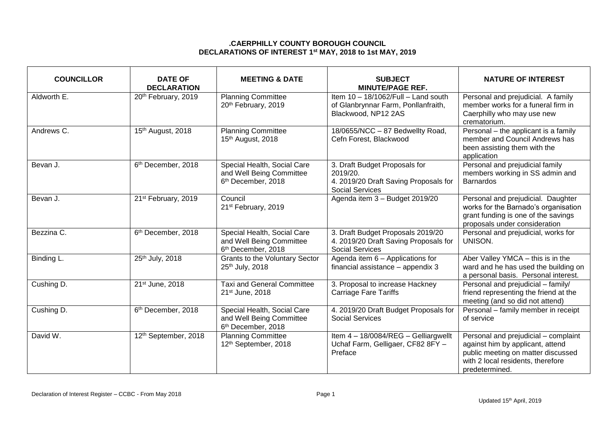## **.CAERPHILLY COUNTY BOROUGH COUNCIL DECLARATIONS OF INTEREST 1 st MAY, 2018 to 1st MAY, 2019**

| <b>COUNCILLOR</b> | <b>DATE OF</b><br><b>DECLARATION</b> | <b>MEETING &amp; DATE</b>                                                                 | <b>SUBJECT</b><br><b>MINUTE/PAGE REF.</b>                                                             | <b>NATURE OF INTEREST</b>                                                                                                                                             |
|-------------------|--------------------------------------|-------------------------------------------------------------------------------------------|-------------------------------------------------------------------------------------------------------|-----------------------------------------------------------------------------------------------------------------------------------------------------------------------|
| Aldworth E.       | 20th February, 2019                  | <b>Planning Committee</b><br>20th February, 2019                                          | Item 10 - 18/1062/Full - Land south<br>of Glanbrynnar Farm, Ponllanfraith,<br>Blackwood, NP12 2AS     | Personal and prejudicial. A family<br>member works for a funeral firm in<br>Caerphilly who may use new<br>crematorium.                                                |
| Andrews C.        | 15th August, 2018                    | <b>Planning Committee</b><br>15th August, 2018                                            | 18/0655/NCC - 87 Bedwellty Road,<br>Cefn Forest, Blackwood                                            | Personal - the applicant is a family<br>member and Council Andrews has<br>been assisting them with the<br>application                                                 |
| Bevan J.          | 6th December, 2018                   | Special Health, Social Care<br>and Well Being Committee<br>6 <sup>th</sup> December, 2018 | 3. Draft Budget Proposals for<br>2019/20.<br>4. 2019/20 Draft Saving Proposals for<br>Social Services | Personal and prejudicial family<br>members working in SS admin and<br><b>Barnardos</b>                                                                                |
| Bevan J.          | 21st February, 2019                  | Council<br>21 <sup>st</sup> February, 2019                                                | Agenda item 3 - Budget 2019/20                                                                        | Personal and prejudicial. Daughter<br>works for the Barnado's organisation<br>grant funding is one of the savings<br>proposals under consideration                    |
| Bezzina C.        | 6 <sup>th</sup> December, 2018       | Special Health, Social Care<br>and Well Being Committee<br>6 <sup>th</sup> December, 2018 | 3. Draft Budget Proposals 2019/20<br>4. 2019/20 Draft Saving Proposals for<br><b>Social Services</b>  | Personal and prejudicial, works for<br>UNISON.                                                                                                                        |
| Binding L.        | 25th July, 2018                      | <b>Grants to the Voluntary Sector</b><br>25th July, 2018                                  | Agenda item 6 - Applications for<br>financial assistance - appendix 3                                 | Aber Valley YMCA - this is in the<br>ward and he has used the building on<br>a personal basis. Personal interest.                                                     |
| Cushing D.        | 21st June, 2018                      | <b>Taxi and General Committee</b><br>21 <sup>st</sup> June, 2018                          | 3. Proposal to increase Hackney<br><b>Carriage Fare Tariffs</b>                                       | Personal and prejudicial - family/<br>friend representing the friend at the<br>meeting (and so did not attend)                                                        |
| Cushing D.        | 6 <sup>th</sup> December, 2018       | Special Health, Social Care<br>and Well Being Committee<br>6 <sup>th</sup> December, 2018 | 4. 2019/20 Draft Budget Proposals for<br><b>Social Services</b>                                       | Personal - family member in receipt<br>of service                                                                                                                     |
| David W.          | 12th September, 2018                 | <b>Planning Committee</b><br>12th September, 2018                                         | Item 4 - 18/0084/REG - Gelliargwellt<br>Uchaf Farm, Gelligaer, CF82 8FY -<br>Preface                  | Personal and prejudicial - complaint<br>against him by applicant, attend<br>public meeting on matter discussed<br>with 2 local residents, therefore<br>predetermined. |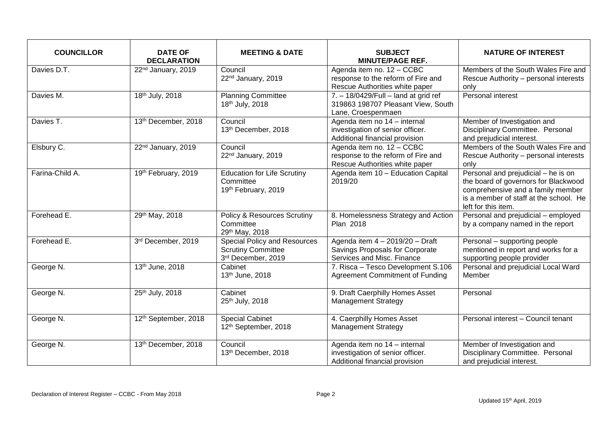| <b>COUNCILLOR</b> | <b>DATE OF</b><br><b>DECLARATION</b> | <b>MEETING &amp; DATE</b>                                                              | <b>SUBJECT</b><br><b>MINUTE/PAGE REF.</b>                                                                 | <b>NATURE OF INTEREST</b>                                                                                                                                                         |
|-------------------|--------------------------------------|----------------------------------------------------------------------------------------|-----------------------------------------------------------------------------------------------------------|-----------------------------------------------------------------------------------------------------------------------------------------------------------------------------------|
| Davies D.T.       | 22 <sup>nd</sup> January, 2019       | Council<br>22 <sup>nd</sup> January, 2019                                              | Agenda item no. 12 - CCBC<br>response to the reform of Fire and<br>Rescue Authorities white paper         | Members of the South Wales Fire and<br>Rescue Authority - personal interests<br>only                                                                                              |
| Davies M.         | 18th July, 2018                      | <b>Planning Committee</b><br>18th July, 2018                                           | $7. - 18/0429$ /Full - land at grid ref<br>319863 198707 Pleasant View, South<br>Lane, Croespenmaen       | Personal interest                                                                                                                                                                 |
| Davies T.         | 13th December, 2018                  | Council<br>13th December, 2018                                                         | Agenda item no 14 - internal<br>investigation of senior officer.<br>Additional financial provision        | Member of Investigation and<br>Disciplinary Committee. Personal<br>and prejudicial interest.                                                                                      |
| Elsbury C.        | 22 <sup>nd</sup> January, 2019       | Council<br>22 <sup>nd</sup> January, 2019                                              | Agenda item no. 12 - CCBC<br>response to the reform of Fire and<br>Rescue Authorities white paper         | Members of the South Wales Fire and<br>Rescue Authority - personal interests<br>only                                                                                              |
| Farina-Child A.   | 19th February, 2019                  | <b>Education for Life Scrutiny</b><br>Committee<br>19th February, 2019                 | Agenda item 10 - Education Capital<br>2019/20                                                             | Personal and prejudicial - he is on<br>the board of governors for Blackwood<br>comprehensive and a family member<br>is a member of staff at the school. He<br>left for this item. |
| Forehead E.       | 29th May, 2018                       | <b>Policy &amp; Resources Scrutiny</b><br>Committee<br>29th May, 2018                  | 8. Homelessness Strategy and Action<br>Plan 2018                                                          | Personal and prejudicial - employed<br>by a company named in the report                                                                                                           |
| Forehead E.       | 3rd December, 2019                   | <b>Special Policy and Resources</b><br><b>Scrutiny Committee</b><br>3rd December, 2019 | Agenda item $4 - 2019/20 - \text{Draff}$<br>Savings Proposals for Corporate<br>Services and Misc. Finance | Personal - supporting people<br>mentioned in report and works for a<br>supporting people provider                                                                                 |
| George N.         | 13th June, 2018                      | Cabinet<br>13th June, 2018                                                             | 7. Risca - Tesco Development S.106<br><b>Agreement Commitment of Funding</b>                              | Personal and prejudicial Local Ward<br>Member                                                                                                                                     |
| George N.         | 25th July, 2018                      | Cabinet<br>25th July, 2018                                                             | 9. Draft Caerphilly Homes Asset<br><b>Management Strategy</b>                                             | Personal                                                                                                                                                                          |
| George N.         | 12th September, 2018                 | <b>Special Cabinet</b><br>12 <sup>th</sup> September, 2018                             | 4. Caerphilly Homes Asset<br><b>Management Strategy</b>                                                   | Personal interest - Council tenant                                                                                                                                                |
| George N.         | 13th December, 2018                  | Council<br>13th December, 2018                                                         | Agenda item no 14 - internal<br>investigation of senior officer.<br>Additional financial provision        | Member of Investigation and<br>Disciplinary Committee. Personal<br>and prejudicial interest.                                                                                      |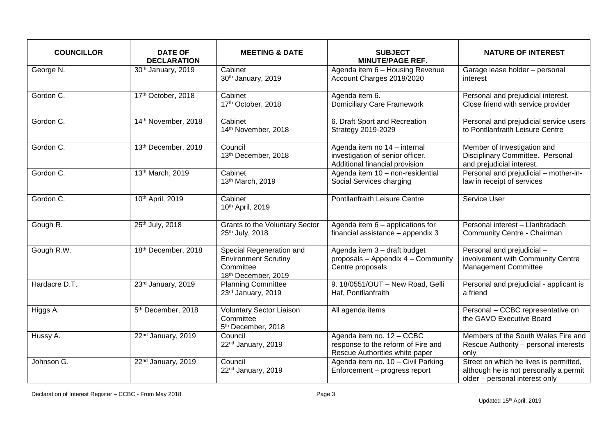| <b>COUNCILLOR</b> | <b>DATE OF</b><br><b>DECLARATION</b> | <b>MEETING &amp; DATE</b>                                                                   | <b>SUBJECT</b><br><b>MINUTE/PAGE REF.</b>                                                          | <b>NATURE OF INTEREST</b>                                                                                          |
|-------------------|--------------------------------------|---------------------------------------------------------------------------------------------|----------------------------------------------------------------------------------------------------|--------------------------------------------------------------------------------------------------------------------|
| George N.         | 30th January, 2019                   | Cabinet<br>30th January, 2019                                                               | Agenda item 6 - Housing Revenue<br>Account Charges 2019/2020                                       | Garage lease holder - personal<br>interest                                                                         |
| Gordon C.         | 17th October, 2018                   | Cabinet<br>17th October, 2018                                                               | Agenda item 6.<br>Domiciliary Care Framework                                                       | Personal and prejudicial interest.<br>Close friend with service provider                                           |
| Gordon C.         | 14th November, 2018                  | Cabinet<br>14th November, 2018                                                              | 6. Draft Sport and Recreation<br><b>Strategy 2019-2029</b>                                         | Personal and prejudicial service users<br>to Pontllanfraith Leisure Centre                                         |
| Gordon C.         | 13th December, 2018                  | Council<br>13th December, 2018                                                              | Agenda item no 14 - internal<br>investigation of senior officer.<br>Additional financial provision | Member of Investigation and<br>Disciplinary Committee. Personal<br>and prejudicial interest.                       |
| Gordon C.         | 13th March, 2019                     | Cabinet<br>13th March, 2019                                                                 | Agenda item 10 - non-residential<br>Social Services charging                                       | Personal and prejudicial - mother-in-<br>law in receipt of services                                                |
| Gordon C.         | 10th April, 2019                     | Cabinet<br>10th April, 2019                                                                 | Pontllanfraith Leisure Centre                                                                      | Service User                                                                                                       |
| Gough R.          | 25th July, 2018                      | <b>Grants to the Voluntary Sector</b><br>25th July, 2018                                    | Agenda item 6 - applications for<br>financial assistance - appendix 3                              | Personal interest - Llanbradach<br>Community Centre - Chairman                                                     |
| Gough R.W.        | 18th December, 2018                  | Special Regeneration and<br><b>Environment Scrutiny</b><br>Committee<br>18th December, 2019 | Agenda item 3 - draft budget<br>proposals - Appendix 4 - Community<br>Centre proposals             | Personal and prejudicial -<br>involvement with Community Centre<br><b>Management Committee</b>                     |
| Hardacre D.T.     | 23rd January, 2019                   | <b>Planning Committee</b><br>23rd January, 2019                                             | 9. 18/0551/OUT - New Road, Gelli<br>Haf, Pontllanfraith                                            | Personal and prejudicial - applicant is<br>a friend                                                                |
| Higgs A.          | 5 <sup>th</sup> December, 2018       | <b>Voluntary Sector Liaison</b><br>Committee<br>5th December, 2018                          | All agenda items                                                                                   | Personal - CCBC representative on<br>the GAVO Executive Board                                                      |
| Hussy A.          | 22 <sup>nd</sup> January, 2019       | Council<br>22 <sup>nd</sup> January, 2019                                                   | Agenda item no. 12 - CCBC<br>response to the reform of Fire and<br>Rescue Authorities white paper  | Members of the South Wales Fire and<br>Rescue Authority - personal interests<br>only                               |
| Johnson G.        | 22 <sup>nd</sup> January, 2019       | Council<br>22 <sup>nd</sup> January, 2019                                                   | Agenda item no. 10 - Civil Parking<br>Enforcement - progress report                                | Street on which he lives is permitted,<br>although he is not personally a permit<br>older - personal interest only |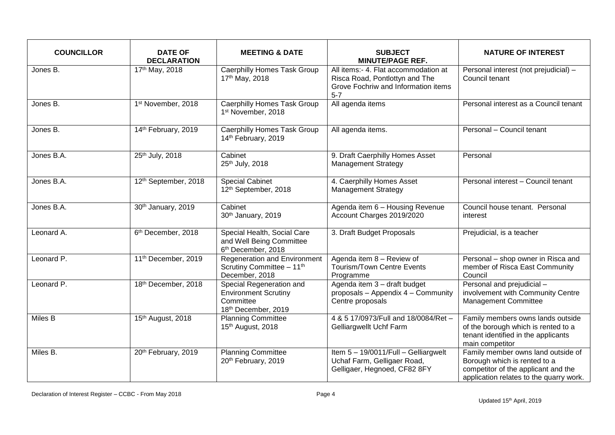| <b>COUNCILLOR</b> | <b>DATE OF</b><br><b>DECLARATION</b> | <b>MEETING &amp; DATE</b>                                                                   | <b>SUBJECT</b><br><b>MINUTE/PAGE REF.</b>                                                                                | <b>NATURE OF INTEREST</b>                                                                                                                            |
|-------------------|--------------------------------------|---------------------------------------------------------------------------------------------|--------------------------------------------------------------------------------------------------------------------------|------------------------------------------------------------------------------------------------------------------------------------------------------|
| Jones B.          | 17th May, 2018                       | <b>Caerphilly Homes Task Group</b><br>17th May, 2018                                        | All items:- 4. Flat accommodation at<br>Risca Road, Pontlottyn and The<br>Grove Fochriw and Information items<br>$5 - 7$ | Personal interest (not prejudicial) -<br>Council tenant                                                                                              |
| Jones B.          | 1st November, 2018                   | <b>Caerphilly Homes Task Group</b><br>1st November, 2018                                    | All agenda items                                                                                                         | Personal interest as a Council tenant                                                                                                                |
| Jones B.          | 14th February, 2019                  | Caerphilly Homes Task Group<br>14th February, 2019                                          | All agenda items.                                                                                                        | Personal - Council tenant                                                                                                                            |
| Jones B.A.        | 25th July, 2018                      | Cabinet<br>25th July, 2018                                                                  | 9. Draft Caerphilly Homes Asset<br><b>Management Strategy</b>                                                            | Personal                                                                                                                                             |
| Jones B.A.        | 12th September, 2018                 | <b>Special Cabinet</b><br>12th September, 2018                                              | 4. Caerphilly Homes Asset<br><b>Management Strategy</b>                                                                  | Personal interest - Council tenant                                                                                                                   |
| Jones B.A.        | 30th January, 2019                   | Cabinet<br>30th January, 2019                                                               | Agenda item 6 - Housing Revenue<br>Account Charges 2019/2020                                                             | Council house tenant. Personal<br>interest                                                                                                           |
| Leonard A.        | 6 <sup>th</sup> December, 2018       | Special Health, Social Care<br>and Well Being Committee<br>6 <sup>th</sup> December, 2018   | 3. Draft Budget Proposals                                                                                                | Prejudicial, is a teacher                                                                                                                            |
| Leonard P.        | 11 <sup>th</sup> December, 2019      | <b>Regeneration and Environment</b><br>Scrutiny Committee - 11th<br>December, 2018          | Agenda item 8 - Review of<br><b>Tourism/Town Centre Events</b><br>Programme                                              | Personal - shop owner in Risca and<br>member of Risca East Community<br>Council                                                                      |
| Leonard P.        | 18th December, 2018                  | Special Regeneration and<br><b>Environment Scrutiny</b><br>Committee<br>18th December, 2019 | Agenda item 3 - draft budget<br>proposals - Appendix 4 - Community<br>Centre proposals                                   | Personal and prejudicial -<br>involvement with Community Centre<br><b>Management Committee</b>                                                       |
| Miles B           | 15th August, 2018                    | <b>Planning Committee</b><br>15th August, 2018                                              | 4 & 5 17/0973/Full and 18/0084/Ret -<br>Gelliargwellt Uchf Farm                                                          | Family members owns lands outside<br>of the borough which is rented to a<br>tenant identified in the applicants<br>main competitor                   |
| Miles B.          | 20th February, 2019                  | <b>Planning Committee</b><br>20th February, 2019                                            | Item 5 - 19/0011/Full - Gelliargwelt<br>Uchaf Farm, Gelligaer Road,<br>Gelligaer, Hegnoed, CF82 8FY                      | Family member owns land outside of<br>Borough which is rented to a<br>competitor of the applicant and the<br>application relates to the quarry work. |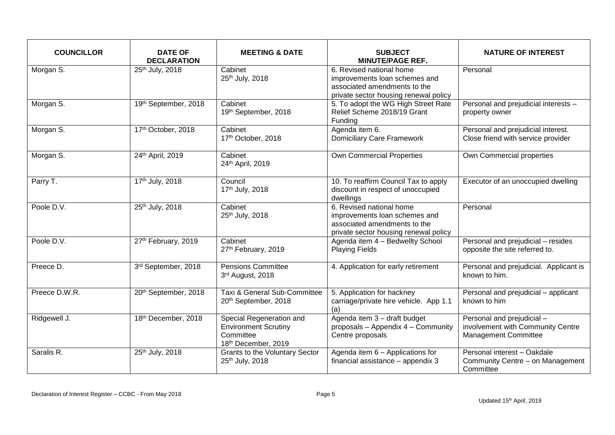| <b>COUNCILLOR</b> | <b>DATE OF</b><br><b>DECLARATION</b> | <b>MEETING &amp; DATE</b>                                                                   | <b>SUBJECT</b><br><b>MINUTE/PAGE REF.</b>                                                                                          | <b>NATURE OF INTEREST</b>                                                                      |
|-------------------|--------------------------------------|---------------------------------------------------------------------------------------------|------------------------------------------------------------------------------------------------------------------------------------|------------------------------------------------------------------------------------------------|
| Morgan S.         | 25th July, 2018                      | Cabinet<br>25th July, 2018                                                                  | 6. Revised national home<br>improvements loan schemes and<br>associated amendments to the<br>private sector housing renewal policy | Personal                                                                                       |
| Morgan S.         | 19th September, 2018                 | Cabinet<br>19th September, 2018                                                             | 5. To adopt the WG High Street Rate<br>Relief Scheme 2018/19 Grant<br>Funding                                                      | Personal and prejudicial interests -<br>property owner                                         |
| Morgan S.         | 17th October, 2018                   | Cabinet<br>17th October, 2018                                                               | Agenda item 6.<br><b>Domiciliary Care Framework</b>                                                                                | Personal and prejudicial interest.<br>Close friend with service provider                       |
| Morgan S.         | 24th April, 2019                     | Cabinet<br>24th April, 2019                                                                 | <b>Own Commercial Properties</b>                                                                                                   | Own Commercial properties                                                                      |
| Parry T.          | 17th July, 2018                      | Council<br>17th July, 2018                                                                  | 10. To reaffirm Council Tax to apply<br>discount in respect of unoccupied<br>dwellings                                             | Executor of an unoccupied dwelling                                                             |
| Poole D.V.        | 25th July, 2018                      | Cabinet<br>25th July, 2018                                                                  | 6. Revised national home<br>improvements loan schemes and<br>associated amendments to the<br>private sector housing renewal policy | Personal                                                                                       |
| Poole D.V.        | 27th February, 2019                  | Cabinet<br>27th February, 2019                                                              | Agenda item 4 - Bedwellty School<br><b>Playing Fields</b>                                                                          | Personal and prejudicial - resides<br>opposite the site referred to.                           |
| Preece D.         | 3rd September, 2018                  | <b>Pensions Committee</b><br>3rd August, 2018                                               | 4. Application for early retirement                                                                                                | Personal and prejudicial. Applicant is<br>known to him.                                        |
| Preece D.W.R.     | 20th September, 2018                 | Taxi & General Sub-Committee<br>20th September, 2018                                        | 5. Application for hackney<br>carriage/private hire vehicle. App 1.1<br>(a)                                                        | Personal and prejudicial - applicant<br>known to him                                           |
| Ridgewell J.      | 18th December, 2018                  | Special Regeneration and<br><b>Environment Scrutiny</b><br>Committee<br>18th December, 2019 | Agenda item 3 - draft budget<br>proposals - Appendix 4 - Community<br>Centre proposals                                             | Personal and prejudicial -<br>involvement with Community Centre<br><b>Management Committee</b> |
| Saralis R.        | 25th July, 2018                      | Grants to the Voluntary Sector<br>25th July, 2018                                           | Agenda item 6 - Applications for<br>financial assistance - appendix 3                                                              | Personal interest - Oakdale<br>Community Centre - on Management<br>Committee                   |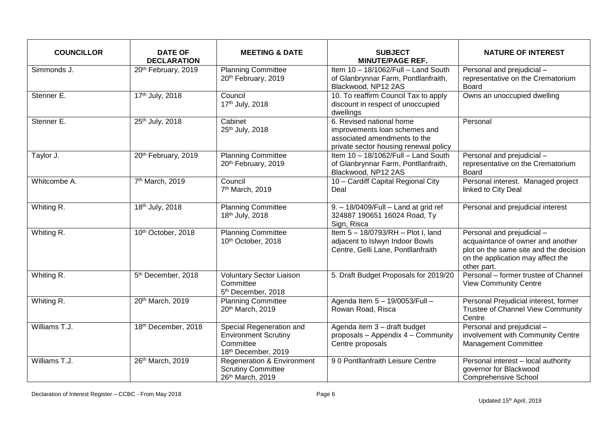| <b>COUNCILLOR</b> | <b>DATE OF</b><br><b>DECLARATION</b> | <b>MEETING &amp; DATE</b>                                                                   | <b>SUBJECT</b><br><b>MINUTE/PAGE REF.</b>                                                                                          | <b>NATURE OF INTEREST</b>                                                                                                                                     |
|-------------------|--------------------------------------|---------------------------------------------------------------------------------------------|------------------------------------------------------------------------------------------------------------------------------------|---------------------------------------------------------------------------------------------------------------------------------------------------------------|
| Simmonds J.       | 20th February, 2019                  | <b>Planning Committee</b><br>20th February, 2019                                            | Item 10 - 18/1062/Full - Land South<br>of Glanbrynnar Farm, Pontllanfraith,<br>Blackwood, NP12 2AS                                 | Personal and prejudicial -<br>representative on the Crematorium<br>Board                                                                                      |
| Stenner E.        | 17th July, 2018                      | Council<br>17th July, 2018                                                                  | 10. To reaffirm Council Tax to apply<br>discount in respect of unoccupied<br>dwellings                                             | Owns an unoccupied dwelling                                                                                                                                   |
| Stenner E.        | 25th July, 2018                      | Cabinet<br>25th July, 2018                                                                  | 6. Revised national home<br>improvements loan schemes and<br>associated amendments to the<br>private sector housing renewal policy | Personal                                                                                                                                                      |
| Taylor J.         | 20th February, 2019                  | <b>Planning Committee</b><br>20th February, 2019                                            | Item 10 - 18/1062/Full - Land South<br>of Glanbrynnar Farm, Pontllanfraith,<br>Blackwood, NP12 2AS                                 | Personal and prejudicial -<br>representative on the Crematorium<br>Board                                                                                      |
| Whitcombe A.      | 7 <sup>th</sup> March, 2019          | Council<br>7 <sup>th</sup> March, 2019                                                      | 10 - Cardiff Capital Regional City<br>Deal                                                                                         | Personal interest. Managed project<br>linked to City Deal                                                                                                     |
| Whiting R.        | 18th July, 2018                      | <b>Planning Committee</b><br>18th July, 2018                                                | 9. - 18/0409/Full - Land at grid ref<br>324887 190651 16024 Road, Ty<br>Sign, Risca                                                | Personal and prejudicial interest                                                                                                                             |
| Whiting R.        | 10th October, 2018                   | <b>Planning Committee</b><br>10th October, 2018                                             | Item 5-18/0793/RH-Plot I, land<br>adjacent to Islwyn Indoor Bowls<br>Centre, Gelli Lane, Pontllanfraith                            | Personal and prejudicial -<br>acquaintance of owner and another<br>plot on the same site and the decision<br>on the application may affect the<br>other part. |
| Whiting R.        | 5 <sup>th</sup> December, 2018       | Voluntary Sector Liaison<br>Committee<br>5 <sup>th</sup> December, 2018                     | 5. Draft Budget Proposals for 2019/20                                                                                              | Personal - former trustee of Channel<br><b>View Community Centre</b>                                                                                          |
| Whiting R.        | 20th March, 2019                     | <b>Planning Committee</b><br>20th March, 2019                                               | Agenda Item 5 - 19/0053/Full -<br>Rowan Road, Risca                                                                                | Personal Prejudicial interest, former<br>Trustee of Channel View Community<br>Centre                                                                          |
| Williams T.J.     | 18th December, 2018                  | Special Regeneration and<br><b>Environment Scrutiny</b><br>Committee<br>18th December, 2019 | Agenda item 3 - draft budget<br>proposals - Appendix 4 - Community<br>Centre proposals                                             | Personal and prejudicial -<br>involvement with Community Centre<br><b>Management Committee</b>                                                                |
| Williams T.J.     | 26th March, 2019                     | <b>Regeneration &amp; Environment</b><br><b>Scrutiny Committee</b><br>26th March, 2019      | 90 Pontllanfraith Leisure Centre                                                                                                   | Personal interest - local authority<br>governor for Blackwood<br><b>Comprehensive School</b>                                                                  |